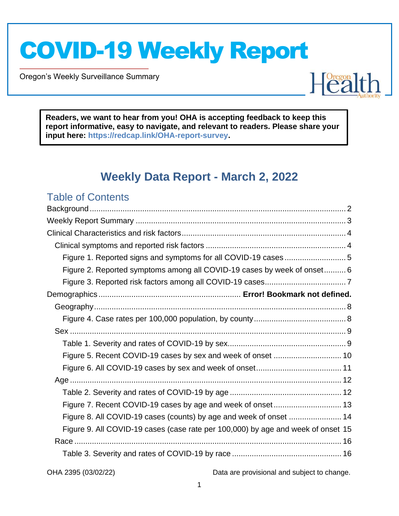Oregon's Weekly Surveillance Summary

Novel Coronavirus (COVID-19)



**Readers, we want to hear from you! OHA is accepting feedback to keep this report informative, easy to navigate, and relevant to readers. Please share your input here: https://redcap.link/OHA-report-survey.**

## **Weekly Data Report - March 2, 2022**

### Table of Contents

| Figure 1. Reported signs and symptoms for all COVID-19 cases 5                   |  |
|----------------------------------------------------------------------------------|--|
| Figure 2. Reported symptoms among all COVID-19 cases by week of onset 6          |  |
|                                                                                  |  |
|                                                                                  |  |
|                                                                                  |  |
|                                                                                  |  |
|                                                                                  |  |
|                                                                                  |  |
|                                                                                  |  |
|                                                                                  |  |
|                                                                                  |  |
|                                                                                  |  |
| Figure 7. Recent COVID-19 cases by age and week of onset 13                      |  |
| Figure 8. All COVID-19 cases (counts) by age and week of onset  14               |  |
| Figure 9. All COVID-19 cases (case rate per 100,000) by age and week of onset 15 |  |
|                                                                                  |  |
|                                                                                  |  |
|                                                                                  |  |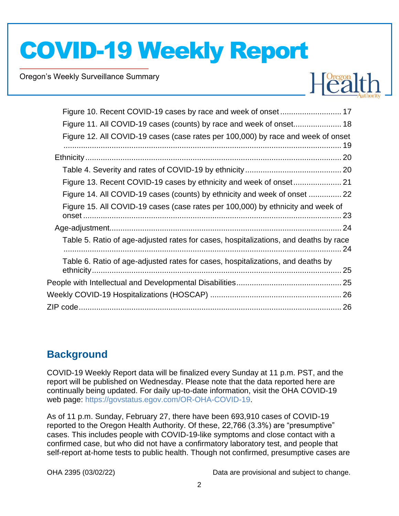Oregon's Weekly Surveillance Summary

Novel Coronavirus (COVID-19)



| Figure 11. All COVID-19 cases (counts) by race and week of onset 18                  |  |
|--------------------------------------------------------------------------------------|--|
| Figure 12. All COVID-19 cases (case rates per 100,000) by race and week of onset     |  |
|                                                                                      |  |
|                                                                                      |  |
|                                                                                      |  |
| Figure 14. All COVID-19 cases (counts) by ethnicity and week of onset  22            |  |
| Figure 15. All COVID-19 cases (case rates per 100,000) by ethnicity and week of      |  |
|                                                                                      |  |
| Table 5. Ratio of age-adjusted rates for cases, hospitalizations, and deaths by race |  |
| Table 6. Ratio of age-adjusted rates for cases, hospitalizations, and deaths by      |  |
|                                                                                      |  |
|                                                                                      |  |
|                                                                                      |  |

## **Background**

COVID-19 Weekly Report data will be finalized every Sunday at 11 p.m. PST, and the report will be published on Wednesday. Please note that the data reported here are continually being updated. For daily up-to-date information, visit the OHA COVID-19 web page: https://govstatus.egov.com/OR-OHA-COVID-19.

As of 11 p.m. Sunday, February 27, there have been 693,910 cases of COVID-19 reported to the Oregon Health Authority. Of these, 22,766 (3.3%) are "presumptive" cases. This includes people with COVID-19-like symptoms and close contact with a confirmed case, but who did not have a confirmatory laboratory test, and people that self-report at-home tests to public health. Though not confirmed, presumptive cases are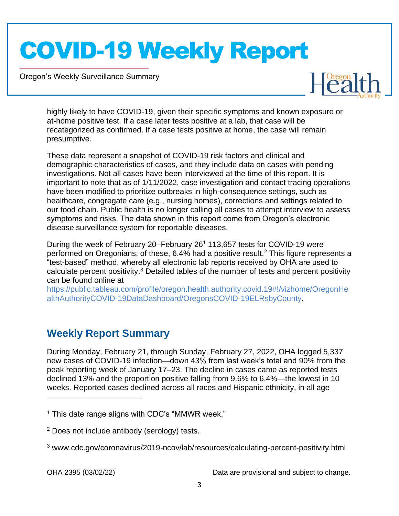Oregon's Weekly Surveillance Summary

Novel Coronavirus (COVID-19)



highly likely to have COVID-19, given their specific symptoms and known exposure or at-home positive test. If a case later tests positive at a lab, that case will be recategorized as confirmed. If a case tests positive at home, the case will remain presumptive.

These data represent a snapshot of COVID-19 risk factors and clinical and demographic characteristics of cases, and they include data on cases with pending investigations. Not all cases have been interviewed at the time of this report. It is important to note that as of 1/11/2022, case investigation and contact tracing operations have been modified to prioritize outbreaks in high-consequence settings, such as healthcare, congregate care (e.g., nursing homes), corrections and settings related to our food chain. Public health is no longer calling all cases to attempt interview to assess symptoms and risks. The data shown in this report come from Oregon's electronic disease surveillance system for reportable diseases.

During the week of February 20–February 26<sup>1</sup> 113,657 tests for COVID-19 were performed on Oregonians; of these, 6.4% had a positive result.<sup>2</sup> This figure represents a "test-based" method, whereby all electronic lab reports received by OHA are used to calculate percent positivity.<sup>3</sup> Detailed tables of the number of tests and percent positivity can be found online at

https://public.tableau.com/profile/oregon.health.authority.covid.19#!/vizhome/OregonHe althAuthorityCOVID-19DataDashboard/OregonsCOVID-19ELRsbyCounty.

## **Weekly Report Summary**

During Monday, February 21, through Sunday, February 27, 2022, OHA logged 5,337 new cases of COVID-19 infection—down 43% from last week's total and 90% from the peak reporting week of January 17–23. The decline in cases came as reported tests declined 13% and the proportion positive falling from 9.6% to 6.4%—the lowest in 10 weeks. Reported cases declined across all races and Hispanic ethnicity, in all age

 $1$  This date range aligns with CDC's "MMWR week."

<sup>2</sup> Does not include antibody (serology) tests.

<sup>3</sup> www.cdc.gov/coronavirus/2019-ncov/lab/resources/calculating-percent-positivity.html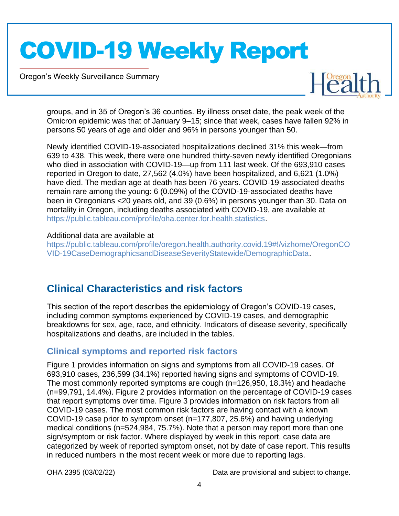Oregon's Weekly Surveillance Summary

Novel Coronavirus (COVID-19)



groups, and in 35 of Oregon's 36 counties. By illness onset date, the peak week of the Omicron epidemic was that of January 9–15; since that week, cases have fallen 92% in persons 50 years of age and older and 96% in persons younger than 50.

Newly identified COVID-19-associated hospitalizations declined 31% this week—from 639 to 438. This week, there were one hundred thirty-seven newly identified Oregonians who died in association with COVID-19—up from 111 last week. Of the 693,910 cases reported in Oregon to date, 27,562 (4.0%) have been hospitalized, and 6,621 (1.0%) have died. The median age at death has been 76 years. COVID-19-associated deaths remain rare among the young: 6 (0.09%) of the COVID-19-associated deaths have been in Oregonians <20 years old, and 39 (0.6%) in persons younger than 30. Data on mortality in Oregon, including deaths associated with COVID-19, are available at https://public.tableau.com/profile/oha.center.for.health.statistics.

### Additional data are available at

https://public.tableau.com/profile/oregon.health.authority.covid.19#!/vizhome/OregonCO VID-19CaseDemographicsandDiseaseSeverityStatewide/DemographicData.

## **Clinical Characteristics and risk factors**

This section of the report describes the epidemiology of Oregon's COVID-19 cases, including common symptoms experienced by COVID-19 cases, and demographic breakdowns for sex, age, race, and ethnicity. Indicators of disease severity, specifically hospitalizations and deaths, are included in the tables.

### **Clinical symptoms and reported risk factors**

Figure 1 provides information on signs and symptoms from all COVID-19 cases. Of 693,910 cases, 236,599 (34.1%) reported having signs and symptoms of COVID-19. The most commonly reported symptoms are cough (n=126,950, 18.3%) and headache (n=99,791, 14.4%). Figure 2 provides information on the percentage of COVID-19 cases that report symptoms over time. Figure 3 provides information on risk factors from all COVID-19 cases. The most common risk factors are having contact with a known COVID-19 case prior to symptom onset (n=177,807, 25.6%) and having underlying medical conditions (n=524,984, 75.7%). Note that a person may report more than one sign/symptom or risk factor. Where displayed by week in this report, case data are categorized by week of reported symptom onset, not by date of case report. This results in reduced numbers in the most recent week or more due to reporting lags.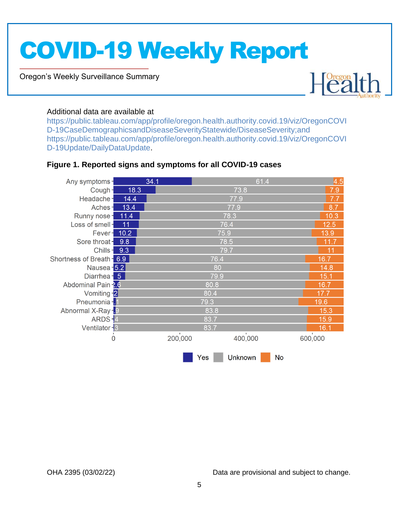Oregon's Weekly Surveillance Summary

Novel Coronavirus (COVID-19)



### Additional data are available at

https://public.tableau.com/app/profile/oregon.health.authority.covid.19/viz/OregonCOVI D-19CaseDemographicsandDiseaseSeverityStatewide/DiseaseSeverity;and https://public.tableau.com/app/profile/oregon.health.authority.covid.19/viz/OregonCOVI D-19Update/DailyDataUpdate.

### **Figure 1. Reported signs and symptoms for all COVID-19 cases**

| Any symptoms-             |      | 34.1    |      | 61.4    |    | 4.5     |
|---------------------------|------|---------|------|---------|----|---------|
| Cough-                    | 18.3 |         |      | 73.8    |    | 7.9     |
| Headache-                 | 14.4 |         |      | 77.9    |    | 7.7     |
| Aches-                    | 13.4 |         |      | 77.9    |    | 8.7     |
| Runny nose-               | 11.4 |         |      | 78.3    |    | 10.3    |
| Loss of smell-            | 11   |         |      | 76.4    |    | 12.5    |
| Fever-                    | 10.2 |         | 75.9 |         |    | 13.9    |
| Sore throat-              | 9.8  |         |      | 78.5    |    | 11.7    |
| Chills-                   | 9.3  |         |      | 79.7    |    | 11      |
| Shortness of Breath - 6.9 |      |         | 76.4 |         |    | 16.7    |
| Nausea - 5.2              |      |         | 80   |         |    | 14.8    |
| Diarrhea - 5              |      |         | 79.9 |         |    | 15.1    |
| Abdominal Pain 2.6        |      |         | 80.8 |         |    | 16.7    |
| Vomiting -2               |      |         | 80.4 |         |    | 17.7    |
| Pneumonia - 1             |      |         | 79.3 |         |    | 19.6    |
| Abnormal X-Ray-9          |      |         | 83.8 |         |    | 15.3    |
| ARDS-4                    |      |         | 83.7 |         |    | 15.9    |
| Ventilator - 3            |      |         | 83.7 |         |    | 16.1    |
| 0                         |      | 200,000 |      | 400,000 |    | 600,000 |
|                           |      |         | Yes  | Unknown | No |         |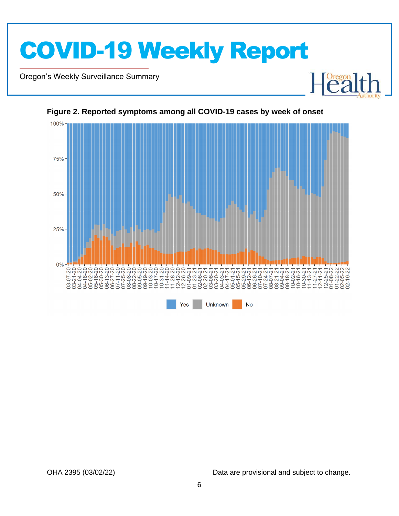

Oregon's Weekly Surveillance Summary

Novel Coronavirus (COVID-19)



#### **Figure 2. Reported symptoms among all COVID-19 cases by week of onset**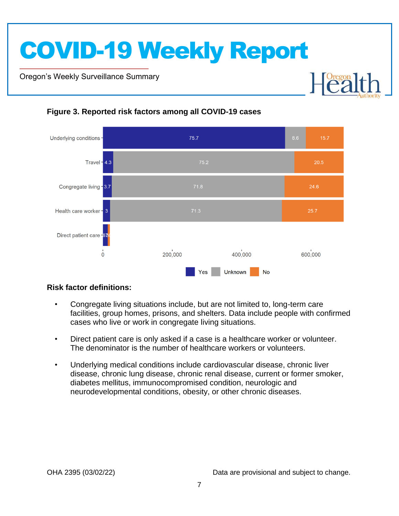Oregon's Weekly Surveillance Summary

Novel Coronavirus (COVID-19)



### **Figure 3. Reported risk factors among all COVID-19 cases**

### **Risk factor definitions:**

- Congregate living situations include, but are not limited to, long-term care facilities, group homes, prisons, and shelters. Data include people with confirmed cases who live or work in congregate living situations.
- Direct patient care is only asked if a case is a healthcare worker or volunteer. The denominator is the number of healthcare workers or volunteers.
- Underlying medical conditions include cardiovascular disease, chronic liver disease, chronic lung disease, chronic renal disease, current or former smoker, diabetes mellitus, immunocompromised condition, neurologic and neurodevelopmental conditions, obesity, or other chronic diseases.

**Dregon**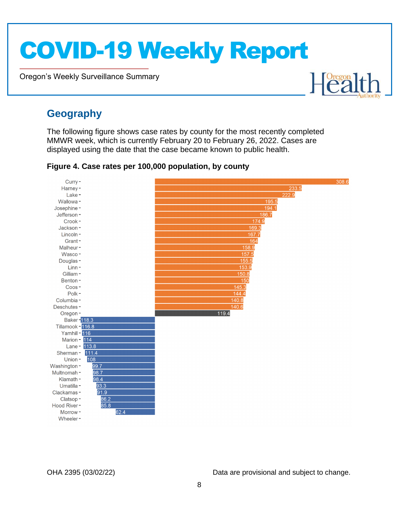Oregon's Weekly Surveillance Summary

# Healt

## **Geography**

Novel Coronavirus (COVID-19)

The following figure shows case rates by county for the most recently completed MMWR week, which is currently February 20 to February 26, 2022. Cases are displayed using the date that the case became known to public health.

**Figure 4. Case rates per 100,000 population, by county**

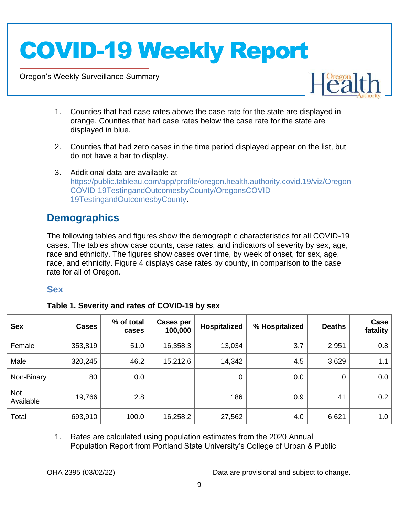Oregon's Weekly Surveillance Summary

Novel Coronavirus (COVID-19)



- 1. Counties that had case rates above the case rate for the state are displayed in orange. Counties that had case rates below the case rate for the state are displayed in blue.
- 2. Counties that had zero cases in the time period displayed appear on the list, but do not have a bar to display.
- 3. Additional data are available at https://public.tableau.com/app/profile/oregon.health.authority.covid.19/viz/Oregon COVID-19TestingandOutcomesbyCounty/OregonsCOVID-19TestingandOutcomesbyCounty.

## **Demographics**

The following tables and figures show the demographic characteristics for all COVID-19 cases. The tables show case counts, case rates, and indicators of severity by sex, age, race and ethnicity. The figures show cases over time, by week of onset, for sex, age, race, and ethnicity. Figure 4 displays case rates by county, in comparison to the case rate for all of Oregon.

### **Sex**

|  | Table 1. Severity and rates of COVID-19 by sex |  |
|--|------------------------------------------------|--|
|  |                                                |  |

| <b>Sex</b>       | <b>Cases</b> | % of total<br>cases | <b>Cases per</b><br>100,000 | <b>Hospitalized</b> | % Hospitalized | <b>Deaths</b> | Case<br>fatality |
|------------------|--------------|---------------------|-----------------------------|---------------------|----------------|---------------|------------------|
| Female           | 353,819      | 51.0                | 16,358.3                    | 13,034              | 3.7            | 2,951         | 0.8              |
| Male             | 320,245      | 46.2                | 15,212.6                    | 14,342              | 4.5            | 3,629         | 1.1              |
| Non-Binary       | 80           | 0.0                 |                             | 0                   | 0.0            | 0             | 0.0              |
| Not<br>Available | 19,766       | 2.8                 |                             | 186                 | 0.9            | 41            | 0.2              |
| Total            | 693,910      | 100.0               | 16,258.2                    | 27,562              | 4.0            | 6,621         | 1.0              |

1. Rates are calculated using population estimates from the 2020 Annual Population Report from Portland State University's College of Urban & Public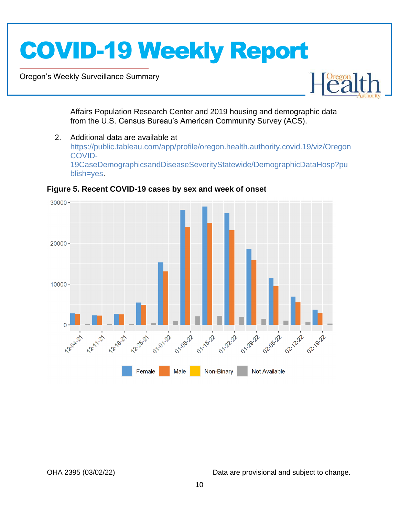Oregon's Weekly Surveillance Summary

Novel Coronavirus (COVID-19)



Affairs Population Research Center and 2019 housing and demographic data from the U.S. Census Bureau's American Community Survey (ACS).

2. Additional data are available at https://public.tableau.com/app/profile/oregon.health.authority.covid.19/viz/Oregon COVID-19CaseDemographicsandDiseaseSeverityStatewide/DemographicDataHosp?pu blish=yes.



### **Figure 5. Recent COVID-19 cases by sex and week of onset**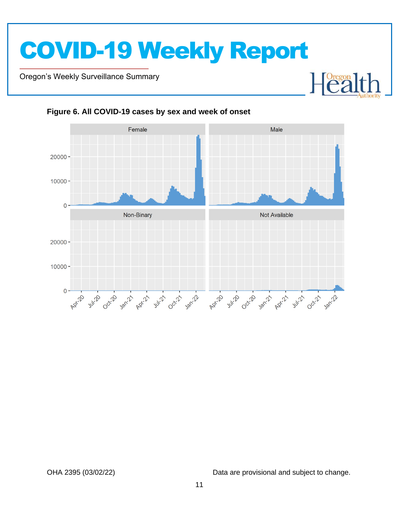Oregon's Weekly Surveillance Summary

Novel Coronavirus (COVID-19)



### **Figure 6. All COVID-19 cases by sex and week of onset**

OHA 2395 (03/02/22) Data are provisional and subject to change.

 $\begin{bmatrix} \text{Oregon} \\ \text{C2} \end{bmatrix}$ 

┠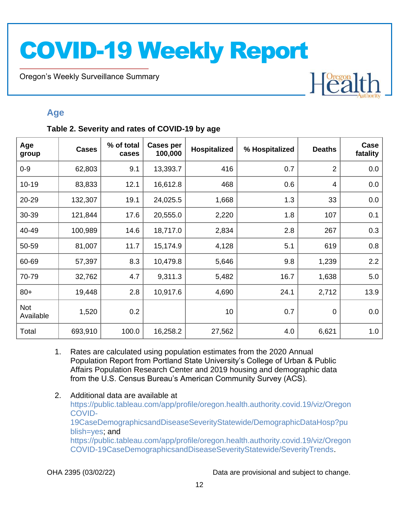Oregon's Weekly Surveillance Summary

Novel Coronavirus (COVID-19)

# Heal

### **Age**

### **Table 2. Severity and rates of COVID-19 by age**

| Age<br>group     | <b>Cases</b> | % of total<br>cases | <b>Cases per</b><br>100,000 | Hospitalized | % Hospitalized | <b>Deaths</b>  | Case<br>fatality |
|------------------|--------------|---------------------|-----------------------------|--------------|----------------|----------------|------------------|
| $0 - 9$          | 62,803       | 9.1                 | 13,393.7                    | 416          | 0.7            | $\overline{2}$ | 0.0              |
| $10 - 19$        | 83,833       | 12.1                | 16,612.8                    | 468          | 0.6            | 4              | 0.0              |
| 20-29            | 132,307      | 19.1                | 24,025.5                    | 1,668        | 1.3            | 33             | 0.0              |
| 30-39            | 121,844      | 17.6                | 20,555.0                    | 2,220        | 1.8            | 107            | 0.1              |
| 40-49            | 100,989      | 14.6                | 18,717.0                    | 2,834        | 2.8            | 267            | 0.3              |
| 50-59            | 81,007       | 11.7                | 15,174.9                    | 4,128        | 5.1            | 619            | 0.8              |
| 60-69            | 57,397       | 8.3                 | 10,479.8                    | 5,646        | 9.8            | 1,239          | 2.2              |
| 70-79            | 32,762       | 4.7                 | 9,311.3                     | 5,482        | 16.7           | 1,638          | 5.0              |
| $80+$            | 19,448       | 2.8                 | 10,917.6                    | 4,690        | 24.1           | 2,712          | 13.9             |
| Not<br>Available | 1,520        | 0.2                 |                             | 10           | 0.7            | $\mathbf 0$    | 0.0              |
| Total            | 693,910      | 100.0               | 16,258.2                    | 27,562       | 4.0            | 6,621          | 1.0              |

- 1. Rates are calculated using population estimates from the 2020 Annual Population Report from Portland State University's College of Urban & Public Affairs Population Research Center and 2019 housing and demographic data from the U.S. Census Bureau's American Community Survey (ACS).
- 2. Additional data are available at https://public.tableau.com/app/profile/oregon.health.authority.covid.19/viz/Oregon COVID-19CaseDemographicsandDiseaseSeverityStatewide/DemographicDataHosp?pu blish=yes; and https://public.tableau.com/app/profile/oregon.health.authority.covid.19/viz/Oregon COVID-19CaseDemographicsandDiseaseSeverityStatewide/SeverityTrends.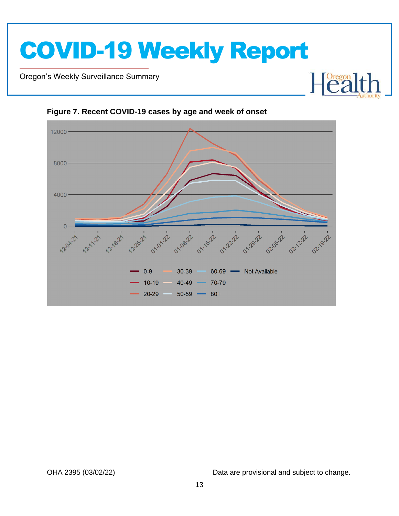

Oregon's Weekly Surveillance Summary

Novel Coronavirus (COVID-19)



### **Figure 7. Recent COVID-19 cases by age and week of onset**

OHA 2395 (03/02/22) Data are provisional and subject to change.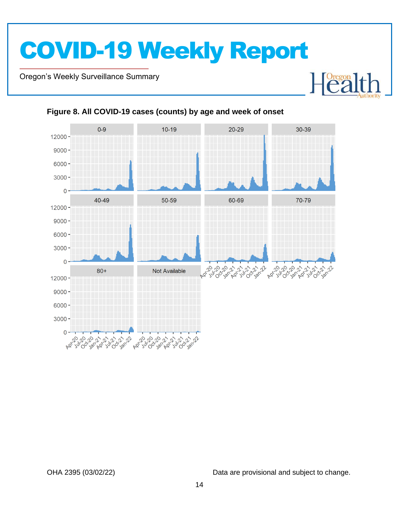Oregon's Weekly Surveillance Summary

Novel Coronavirus (COVID-19)



### **Figure 8. All COVID-19 cases (counts) by age and week of onset**

OHA 2395 (03/02/22) Data are provisional and subject to change.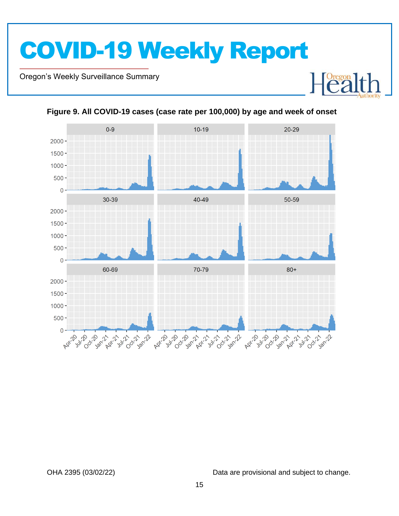Oregon's Weekly Surveillance Summary

Novel Coronavirus (COVID-19)



**Figure 9. All COVID-19 cases (case rate per 100,000) by age and week of onset**

OHA 2395 (03/02/22) Data are provisional and subject to change.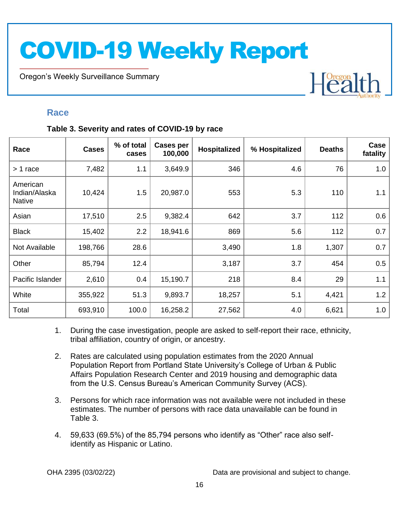Oregon's Weekly Surveillance Summary

## Heal

### **Race**

Novel Coronavirus (COVID-19)

### **Table 3. Severity and rates of COVID-19 by race**

| Race                                       | <b>Cases</b> | % of total<br>cases | <b>Cases per</b><br>100,000 | Hospitalized | % Hospitalized | <b>Deaths</b> | Case<br>fatality |
|--------------------------------------------|--------------|---------------------|-----------------------------|--------------|----------------|---------------|------------------|
| > 1 race                                   | 7,482        | 1.1                 | 3,649.9                     | 346          | 4.6            | 76            | 1.0              |
| American<br>Indian/Alaska<br><b>Native</b> | 10,424       | 1.5                 | 20,987.0                    | 553          | 5.3            | 110           | 1.1              |
| Asian                                      | 17,510       | 2.5                 | 9,382.4                     | 642          | 3.7            | 112           | 0.6              |
| <b>Black</b>                               | 15,402       | 2.2                 | 18,941.6                    | 869          | 5.6            | 112           | 0.7              |
| Not Available                              | 198,766      | 28.6                |                             | 3,490        | 1.8            | 1,307         | 0.7              |
| Other                                      | 85,794       | 12.4                |                             | 3,187        | 3.7            | 454           | 0.5              |
| Pacific Islander                           | 2,610        | 0.4                 | 15,190.7                    | 218          | 8.4            | 29            | 1.1              |
| White                                      | 355,922      | 51.3                | 9,893.7                     | 18,257       | 5.1            | 4,421         | 1.2              |
| Total                                      | 693,910      | 100.0               | 16,258.2                    | 27,562       | 4.0            | 6,621         | 1.0              |

- 1. During the case investigation, people are asked to self-report their race, ethnicity, tribal affiliation, country of origin, or ancestry.
- 2. Rates are calculated using population estimates from the 2020 Annual Population Report from Portland State University's College of Urban & Public Affairs Population Research Center and 2019 housing and demographic data from the U.S. Census Bureau's American Community Survey (ACS).
- 3. Persons for which race information was not available were not included in these estimates. The number of persons with race data unavailable can be found in Table 3.
- 4. 59,633 (69.5%) of the 85,794 persons who identify as "Other" race also selfidentify as Hispanic or Latino.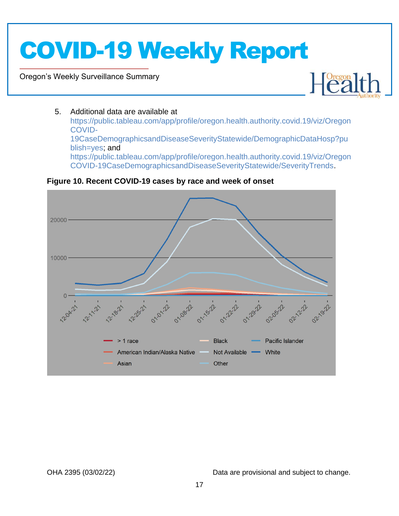Oregon's Weekly Surveillance Summary

Novel Coronavirus (COVID-19)



### 5. Additional data are available at

https://public.tableau.com/app/profile/oregon.health.authority.covid.19/viz/Oregon COVID-19CaseDemographicsandDiseaseSeverityStatewide/DemographicDataHosp?pu blish=yes; and https://public.tableau.com/app/profile/oregon.health.authority.covid.19/viz/Oregon COVID-19CaseDemographicsandDiseaseSeverityStatewide/SeverityTrends.

### **Figure 10. Recent COVID-19 cases by race and week of onset**

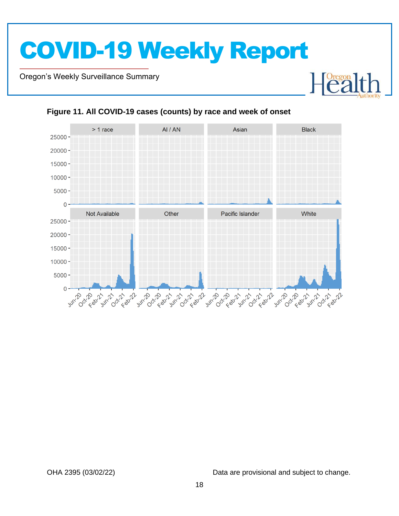Oregon's Weekly Surveillance Summary

Novel Coronavirus (COVID-19)



### **Figure 11. All COVID-19 cases (counts) by race and week of onset**

OHA 2395 (03/02/22) Data are provisional and subject to change.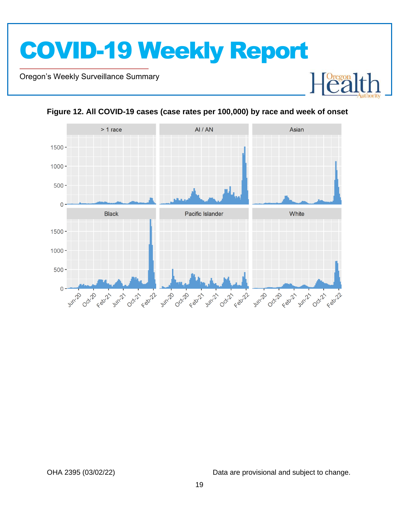Oregon's Weekly Surveillance Summary

Novel Coronavirus (COVID-19)





**Figure 12. All COVID-19 cases (case rates per 100,000) by race and week of onset**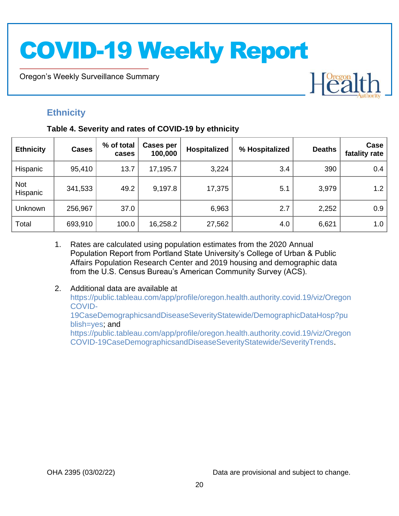Oregon's Weekly Surveillance Summary

## **Ethnicity**

Novel Coronavirus (COVID-19)

### **Table 4. Severity and rates of COVID-19 by ethnicity**

| <b>Ethnicity</b>       | <b>Cases</b> | % of total<br>cases | Cases per<br>100,000 | Hospitalized | % Hospitalized | <b>Deaths</b> | Case<br>fatality rate |
|------------------------|--------------|---------------------|----------------------|--------------|----------------|---------------|-----------------------|
| Hispanic               | 95,410       | 13.7                | 17,195.7             | 3,224        | 3.4            | 390           | 0.4                   |
| <b>Not</b><br>Hispanic | 341,533      | 49.2                | 9,197.8              | 17,375       | 5.1            | 3,979         | 1.2                   |
| Unknown                | 256,967      | 37.0                |                      | 6,963        | 2.7            | 2,252         | 0.9                   |
| Total                  | 693,910      | 100.0               | 16,258.2             | 27,562       | 4.0            | 6,621         | 1.0                   |

- 1. Rates are calculated using population estimates from the 2020 Annual Population Report from Portland State University's College of Urban & Public Affairs Population Research Center and 2019 housing and demographic data from the U.S. Census Bureau's American Community Survey (ACS).
- 2. Additional data are available at https://public.tableau.com/app/profile/oregon.health.authority.covid.19/viz/Oregon COVID-19CaseDemographicsandDiseaseSeverityStatewide/DemographicDataHosp?pu blish=yes; and https://public.tableau.com/app/profile/oregon.health.authority.covid.19/viz/Oregon COVID-19CaseDemographicsandDiseaseSeverityStatewide/SeverityTrends.

OHA 2395 (03/02/22) Data are provisional and subject to change.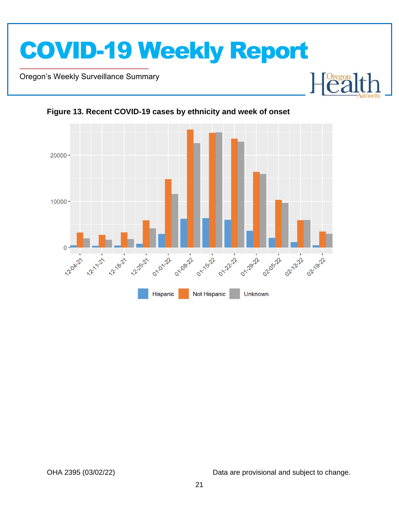

Oregon's Weekly Surveillance Summary

Novel Coronavirus (COVID-19)





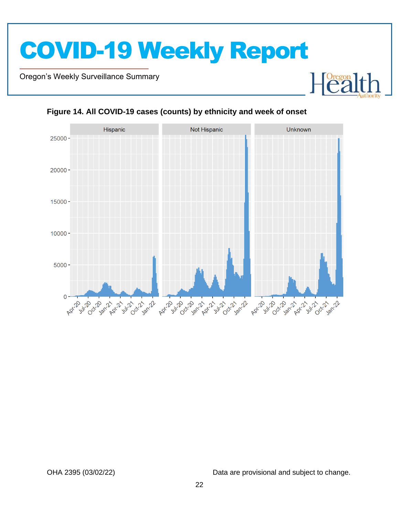Oregon's Weekly Surveillance Summary

Novel Coronavirus (COVID-19)





### **Figure 14. All COVID-19 cases (counts) by ethnicity and week of onset**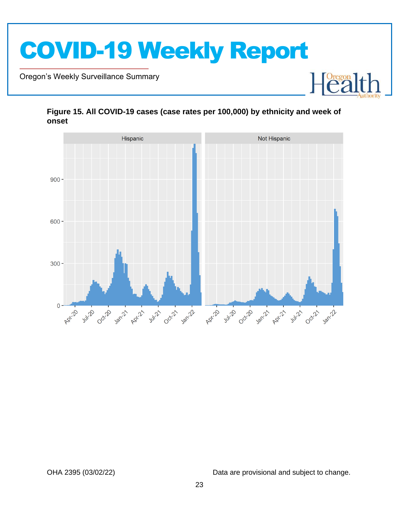

Oregon's Weekly Surveillance Summary

Novel Coronavirus (COVID-19)



### **Figure 15. All COVID-19 cases (case rates per 100,000) by ethnicity and week of onset**

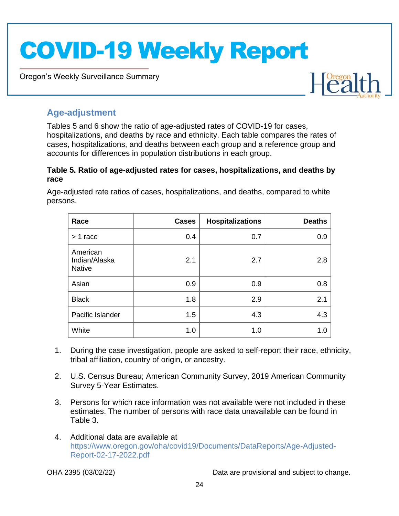Oregon's Weekly Surveillance Summary



### **Age-adjustment**

Novel Coronavirus (COVID-19)

Tables 5 and 6 show the ratio of age-adjusted rates of COVID-19 for cases, hospitalizations, and deaths by race and ethnicity. Each table compares the rates of cases, hospitalizations, and deaths between each group and a reference group and accounts for differences in population distributions in each group.

### **Table 5. Ratio of age-adjusted rates for cases, hospitalizations, and deaths by race**

Age-adjusted rate ratios of cases, hospitalizations, and deaths, compared to white persons.

| Race                                       | <b>Cases</b> | <b>Hospitalizations</b> | <b>Deaths</b> |
|--------------------------------------------|--------------|-------------------------|---------------|
| $> 1$ race                                 | 0.4          | 0.7                     | 0.9           |
| American<br>Indian/Alaska<br><b>Native</b> | 2.1          | 2.7                     | 2.8           |
| Asian                                      | 0.9          | 0.9                     | 0.8           |
| <b>Black</b>                               | 1.8          | 2.9                     | 2.1           |
| Pacific Islander                           | 1.5          | 4.3                     | 4.3           |
| White                                      | 1.0          | 1.0                     | 1.0           |

- 1. During the case investigation, people are asked to self-report their race, ethnicity, tribal affiliation, country of origin, or ancestry.
- 2. U.S. Census Bureau; American Community Survey, 2019 American Community Survey 5-Year Estimates.
- 3. Persons for which race information was not available were not included in these estimates. The number of persons with race data unavailable can be found in Table 3.
- 4. Additional data are available at https://www.oregon.gov/oha/covid19/Documents/DataReports/Age-Adjusted-Report-02-17-2022.pdf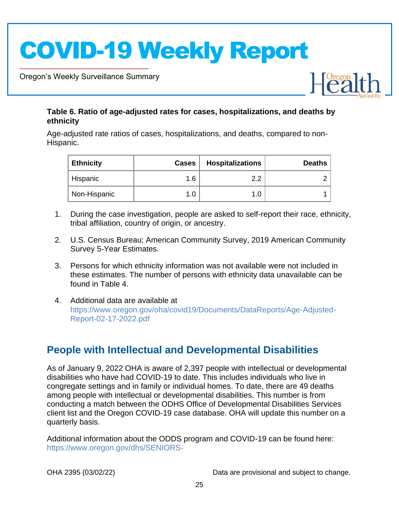Oregon's Weekly Surveillance Summary

Novel Coronavirus (COVID-19)



### **Table 6. Ratio of age-adjusted rates for cases, hospitalizations, and deaths by ethnicity**

Age-adjusted rate ratios of cases, hospitalizations, and deaths, compared to non-Hispanic.

| <b>Ethnicity</b> | <b>Cases</b> | <b>Hospitalizations</b> | <b>Deaths</b> |
|------------------|--------------|-------------------------|---------------|
| Hispanic         | 1.6          | ົດ.                     |               |
| Non-Hispanic     |              |                         |               |

- 1. During the case investigation, people are asked to self-report their race, ethnicity, tribal affiliation, country of origin, or ancestry.
- 2. U.S. Census Bureau; American Community Survey, 2019 American Community Survey 5-Year Estimates.
- 3. Persons for which ethnicity information was not available were not included in these estimates. The number of persons with ethnicity data unavailable can be found in Table 4.
- 4. Additional data are available at https://www.oregon.gov/oha/covid19/Documents/DataReports/Age-Adjusted-Report-02-17-2022.pdf

## **People with Intellectual and Developmental Disabilities**

As of January 9, 2022 OHA is aware of 2,397 people with intellectual or developmental disabilities who have had COVID-19 to date. This includes individuals who live in congregate settings and in family or individual homes. To date, there are 49 deaths among people with intellectual or developmental disabilities. This number is from conducting a match between the ODHS Office of Developmental Disabilities Services client list and the Oregon COVID-19 case database. OHA will update this number on a quarterly basis.

Additional information about the ODDS program and COVID-19 can be found here: https://www.oregon.gov/dhs/SENIORS-